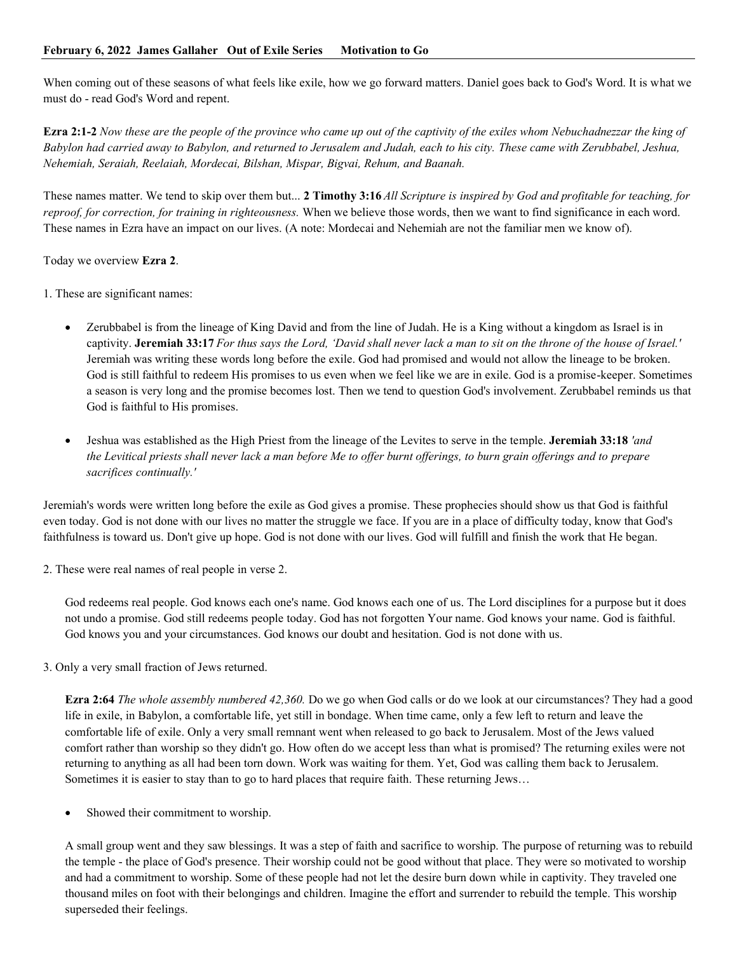When coming out of these seasons of what feels like exile, how we go forward matters. Daniel goes back to God's Word. It is what we must do - read God's Word and repent.

**Ezra 2:1-2** *Now these are the people of the province who came up out of the captivity of the exiles whom Nebuchadnezzar the king of Babylon had carried away to Babylon, and returned to Jerusalem and Judah, each to his city. These came with Zerubbabel, Jeshua, Nehemiah, Seraiah, Reelaiah, Mordecai, Bilshan, Mispar, Bigvai, Rehum, and Baanah.*

These names matter. We tend to skip over them but... **2 Timothy 3:16** *All Scripture is inspired by God and profitable for teaching, for reproof, for correction, for training in righteousness.* When we believe those words, then we want to find significance in each word. These names in Ezra have an impact on our lives. (A note: Mordecai and Nehemiah are not the familiar men we know of).

Today we overview **Ezra 2**.

1. These are significant names:

- Zerubbabel is from the lineage of King David and from the line of Judah. He is a King without a kingdom as Israel is in captivity. **Jeremiah 33:17** *For thus says the Lord, 'David shall never lack a man to sit on the throne of the house of Israel.'* Jeremiah was writing these words long before the exile. God had promised and would not allow the lineage to be broken. God is still faithful to redeem His promises to us even when we feel like we are in exile. God is a promise-keeper. Sometimes a season is very long and the promise becomes lost. Then we tend to question God's involvement. Zerubbabel reminds us that God is faithful to His promises.
- Jeshua was established as the High Priest from the lineage of the Levites to serve in the temple. **Jeremiah 33:18** *'and the Levitical priests shall never lack a man before Me to offer burnt offerings, to burn grain offerings and to prepare sacrifices continually.'*

Jeremiah's words were written long before the exile as God gives a promise. These prophecies should show us that God is faithful even today. God is not done with our lives no matter the struggle we face. If you are in a place of difficulty today, know that God's faithfulness is toward us. Don't give up hope. God is not done with our lives. God will fulfill and finish the work that He began.

2. These were real names of real people in verse 2.

God redeems real people. God knows each one's name. God knows each one of us. The Lord disciplines for a purpose but it does not undo a promise. God still redeems people today. God has not forgotten Your name. God knows your name. God is faithful. God knows you and your circumstances. God knows our doubt and hesitation. God is not done with us.

3. Only a very small fraction of Jews returned.

**Ezra 2:64** *The whole assembly numbered 42,360.* Do we go when God calls or do we look at our circumstances? They had a good life in exile, in Babylon, a comfortable life, yet still in bondage. When time came, only a few left to return and leave the comfortable life of exile. Only a very small remnant went when released to go back to Jerusalem. Most of the Jews valued comfort rather than worship so they didn't go. How often do we accept less than what is promised? The returning exiles were not returning to anything as all had been torn down. Work was waiting for them. Yet, God was calling them back to Jerusalem. Sometimes it is easier to stay than to go to hard places that require faith. These returning Jews…

Showed their commitment to worship.

A small group went and they saw blessings. It was a step of faith and sacrifice to worship. The purpose of returning was to rebuild the temple - the place of God's presence. Their worship could not be good without that place. They were so motivated to worship and had a commitment to worship. Some of these people had not let the desire burn down while in captivity. They traveled one thousand miles on foot with their belongings and children. Imagine the effort and surrender to rebuild the temple. This worship superseded their feelings.